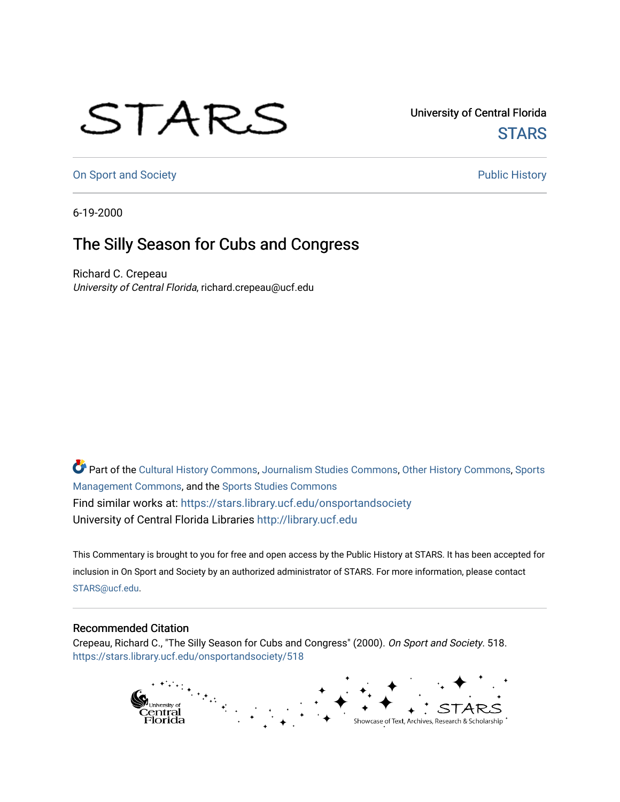## STARS

University of Central Florida **STARS** 

[On Sport and Society](https://stars.library.ucf.edu/onsportandsociety) **Public History** Public History

6-19-2000

## The Silly Season for Cubs and Congress

Richard C. Crepeau University of Central Florida, richard.crepeau@ucf.edu

Part of the [Cultural History Commons](http://network.bepress.com/hgg/discipline/496?utm_source=stars.library.ucf.edu%2Fonsportandsociety%2F518&utm_medium=PDF&utm_campaign=PDFCoverPages), [Journalism Studies Commons,](http://network.bepress.com/hgg/discipline/333?utm_source=stars.library.ucf.edu%2Fonsportandsociety%2F518&utm_medium=PDF&utm_campaign=PDFCoverPages) [Other History Commons,](http://network.bepress.com/hgg/discipline/508?utm_source=stars.library.ucf.edu%2Fonsportandsociety%2F518&utm_medium=PDF&utm_campaign=PDFCoverPages) [Sports](http://network.bepress.com/hgg/discipline/1193?utm_source=stars.library.ucf.edu%2Fonsportandsociety%2F518&utm_medium=PDF&utm_campaign=PDFCoverPages) [Management Commons](http://network.bepress.com/hgg/discipline/1193?utm_source=stars.library.ucf.edu%2Fonsportandsociety%2F518&utm_medium=PDF&utm_campaign=PDFCoverPages), and the [Sports Studies Commons](http://network.bepress.com/hgg/discipline/1198?utm_source=stars.library.ucf.edu%2Fonsportandsociety%2F518&utm_medium=PDF&utm_campaign=PDFCoverPages) Find similar works at: <https://stars.library.ucf.edu/onsportandsociety> University of Central Florida Libraries [http://library.ucf.edu](http://library.ucf.edu/) 

This Commentary is brought to you for free and open access by the Public History at STARS. It has been accepted for inclusion in On Sport and Society by an authorized administrator of STARS. For more information, please contact [STARS@ucf.edu](mailto:STARS@ucf.edu).

## Recommended Citation

Crepeau, Richard C., "The Silly Season for Cubs and Congress" (2000). On Sport and Society. 518. [https://stars.library.ucf.edu/onsportandsociety/518](https://stars.library.ucf.edu/onsportandsociety/518?utm_source=stars.library.ucf.edu%2Fonsportandsociety%2F518&utm_medium=PDF&utm_campaign=PDFCoverPages)

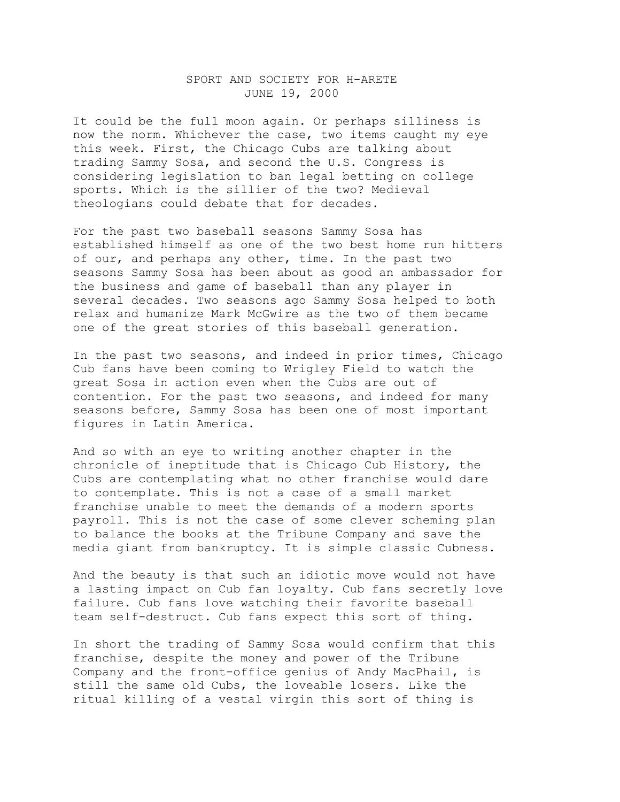## SPORT AND SOCIETY FOR H-ARETE JUNE 19, 2000

It could be the full moon again. Or perhaps silliness is now the norm. Whichever the case, two items caught my eye this week. First, the Chicago Cubs are talking about trading Sammy Sosa, and second the U.S. Congress is considering legislation to ban legal betting on college sports. Which is the sillier of the two? Medieval theologians could debate that for decades.

For the past two baseball seasons Sammy Sosa has established himself as one of the two best home run hitters of our, and perhaps any other, time. In the past two seasons Sammy Sosa has been about as good an ambassador for the business and game of baseball than any player in several decades. Two seasons ago Sammy Sosa helped to both relax and humanize Mark McGwire as the two of them became one of the great stories of this baseball generation.

In the past two seasons, and indeed in prior times, Chicago Cub fans have been coming to Wrigley Field to watch the great Sosa in action even when the Cubs are out of contention. For the past two seasons, and indeed for many seasons before, Sammy Sosa has been one of most important figures in Latin America.

And so with an eye to writing another chapter in the chronicle of ineptitude that is Chicago Cub History, the Cubs are contemplating what no other franchise would dare to contemplate. This is not a case of a small market franchise unable to meet the demands of a modern sports payroll. This is not the case of some clever scheming plan to balance the books at the Tribune Company and save the media giant from bankruptcy. It is simple classic Cubness.

And the beauty is that such an idiotic move would not have a lasting impact on Cub fan loyalty. Cub fans secretly love failure. Cub fans love watching their favorite baseball team self-destruct. Cub fans expect this sort of thing.

In short the trading of Sammy Sosa would confirm that this franchise, despite the money and power of the Tribune Company and the front-office genius of Andy MacPhail, is still the same old Cubs, the loveable losers. Like the ritual killing of a vestal virgin this sort of thing is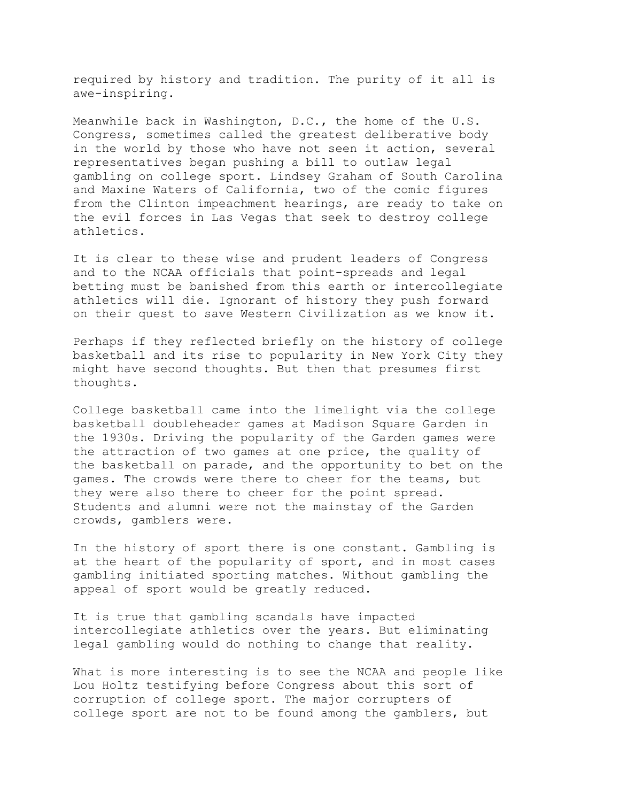required by history and tradition. The purity of it all is awe-inspiring.

Meanwhile back in Washington, D.C., the home of the U.S. Congress, sometimes called the greatest deliberative body in the world by those who have not seen it action, several representatives began pushing a bill to outlaw legal gambling on college sport. Lindsey Graham of South Carolina and Maxine Waters of California, two of the comic figures from the Clinton impeachment hearings, are ready to take on the evil forces in Las Vegas that seek to destroy college athletics.

It is clear to these wise and prudent leaders of Congress and to the NCAA officials that point-spreads and legal betting must be banished from this earth or intercollegiate athletics will die. Ignorant of history they push forward on their quest to save Western Civilization as we know it.

Perhaps if they reflected briefly on the history of college basketball and its rise to popularity in New York City they might have second thoughts. But then that presumes first thoughts.

College basketball came into the limelight via the college basketball doubleheader games at Madison Square Garden in the 1930s. Driving the popularity of the Garden games were the attraction of two games at one price, the quality of the basketball on parade, and the opportunity to bet on the games. The crowds were there to cheer for the teams, but they were also there to cheer for the point spread. Students and alumni were not the mainstay of the Garden crowds, gamblers were.

In the history of sport there is one constant. Gambling is at the heart of the popularity of sport, and in most cases gambling initiated sporting matches. Without gambling the appeal of sport would be greatly reduced.

It is true that gambling scandals have impacted intercollegiate athletics over the years. But eliminating legal gambling would do nothing to change that reality.

What is more interesting is to see the NCAA and people like Lou Holtz testifying before Congress about this sort of corruption of college sport. The major corrupters of college sport are not to be found among the gamblers, but